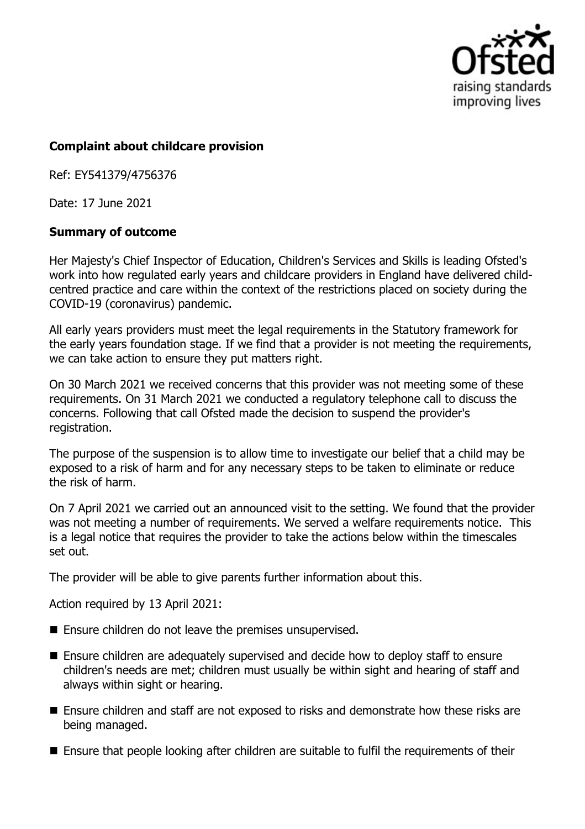

## **Complaint about childcare provision**

Ref: EY541379/4756376

Date: 17 June 2021

## **Summary of outcome**

Her Majesty's Chief Inspector of Education, Children's Services and Skills is leading Ofsted's work into how regulated early years and childcare providers in England have delivered childcentred practice and care within the context of the restrictions placed on society during the COVID-19 (coronavirus) pandemic.

All early years providers must meet the legal requirements in the Statutory framework for the early years foundation stage. If we find that a provider is not meeting the requirements, we can take action to ensure they put matters right.

On 30 March 2021 we received concerns that this provider was not meeting some of these requirements. On 31 March 2021 we conducted a regulatory telephone call to discuss the concerns. Following that call Ofsted made the decision to suspend the provider's registration.

The purpose of the suspension is to allow time to investigate our belief that a child may be exposed to a risk of harm and for any necessary steps to be taken to eliminate or reduce the risk of harm.

On 7 April 2021 we carried out an announced visit to the setting. We found that the provider was not meeting a number of requirements. We served a welfare requirements notice. This is a legal notice that requires the provider to take the actions below within the timescales set out.

The provider will be able to give parents further information about this.

Action required by 13 April 2021:

- $\blacksquare$  Ensure children do not leave the premises unsupervised.
- Ensure children are adequately supervised and decide how to deploy staff to ensure children's needs are met; children must usually be within sight and hearing of staff and always within sight or hearing.
- Ensure children and staff are not exposed to risks and demonstrate how these risks are being managed.
- Ensure that people looking after children are suitable to fulfil the requirements of their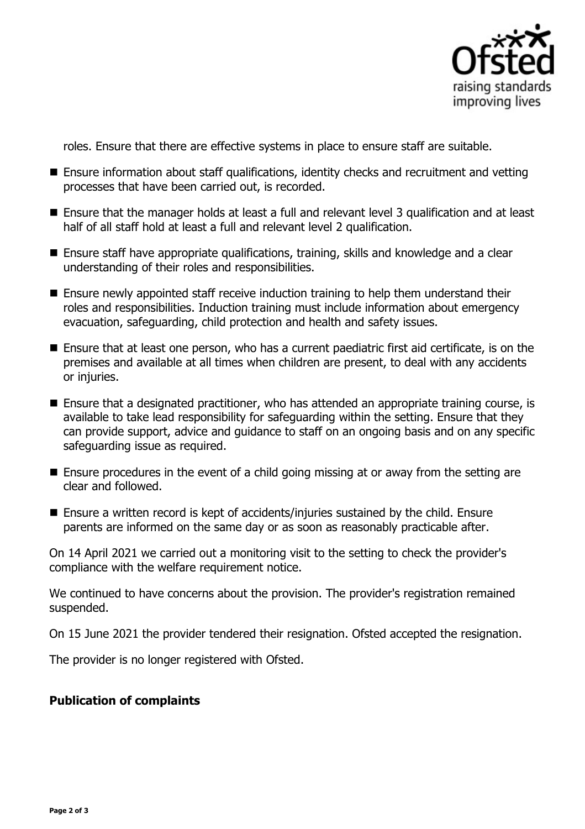

roles. Ensure that there are effective systems in place to ensure staff are suitable.

- Ensure information about staff qualifications, identity checks and recruitment and vetting processes that have been carried out, is recorded.
- Ensure that the manager holds at least a full and relevant level 3 qualification and at least half of all staff hold at least a full and relevant level 2 qualification.
- Ensure staff have appropriate qualifications, training, skills and knowledge and a clear understanding of their roles and responsibilities.
- Ensure newly appointed staff receive induction training to help them understand their roles and responsibilities. Induction training must include information about emergency evacuation, safeguarding, child protection and health and safety issues.
- Ensure that at least one person, who has a current paediatric first aid certificate, is on the premises and available at all times when children are present, to deal with any accidents or injuries.
- Ensure that a designated practitioner, who has attended an appropriate training course, is available to take lead responsibility for safeguarding within the setting. Ensure that they can provide support, advice and guidance to staff on an ongoing basis and on any specific safeguarding issue as required.
- $\blacksquare$  Ensure procedures in the event of a child going missing at or away from the setting are clear and followed.
- $\blacksquare$  Ensure a written record is kept of accidents/injuries sustained by the child. Ensure parents are informed on the same day or as soon as reasonably practicable after.

On 14 April 2021 we carried out a monitoring visit to the setting to check the provider's compliance with the welfare requirement notice.

We continued to have concerns about the provision. The provider's registration remained suspended.

On 15 June 2021 the provider tendered their resignation. Ofsted accepted the resignation.

The provider is no longer registered with Ofsted.

## **Publication of complaints**